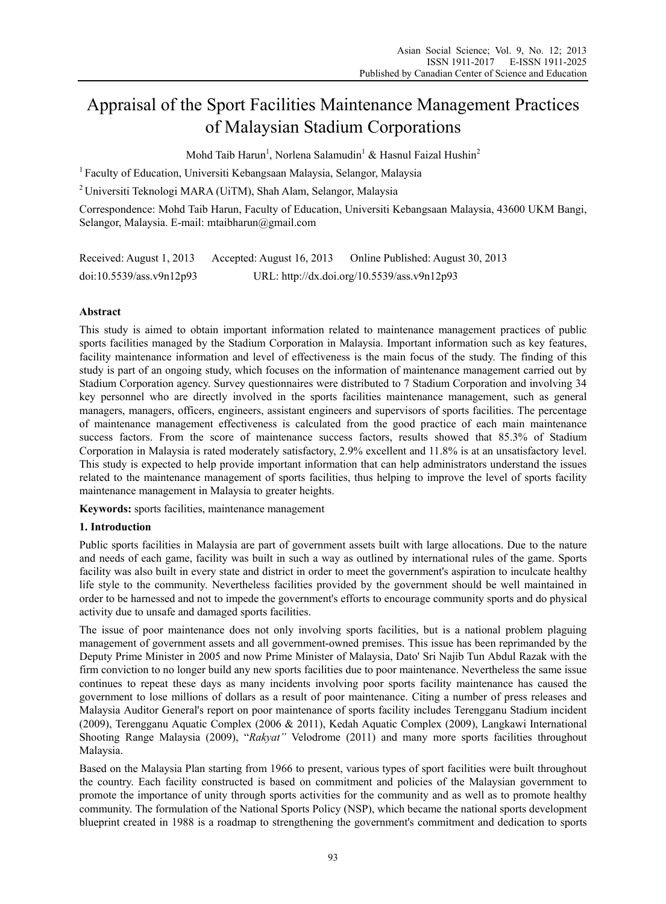# Appraisal of the Sport Facilities Maintenance Management Practices of Malaysian Stadium Corporations

Mohd Taib Harun<sup>1</sup>, Norlena Salamudin<sup>1</sup> & Hasnul Faizal Hushin<sup>2</sup>

<sup>1</sup> Faculty of Education, Universiti Kebangsaan Malaysia, Selangor, Malaysia

2 Universiti Teknologi MARA (UiTM), Shah Alam, Selangor, Malaysia

Correspondence: Mohd Taib Harun, Faculty of Education, Universiti Kebangsaan Malaysia, 43600 UKM Bangi, Selangor, Malaysia. E-mail: mtaibharun@gmail.com

| Received: August 1, 2013 | Accepted: August 16, 2013                   | Online Published: August 30, 2013 |
|--------------------------|---------------------------------------------|-----------------------------------|
| doi:10.5539/ass.v9n12p93 | URL: http://dx.doi.org/10.5539/ass.v9n12p93 |                                   |

## **Abstract**

This study is aimed to obtain important information related to maintenance management practices of public sports facilities managed by the Stadium Corporation in Malaysia. Important information such as key features, facility maintenance information and level of effectiveness is the main focus of the study. The finding of this study is part of an ongoing study, which focuses on the information of maintenance management carried out by Stadium Corporation agency. Survey questionnaires were distributed to 7 Stadium Corporation and involving 34 key personnel who are directly involved in the sports facilities maintenance management, such as general managers, managers, officers, engineers, assistant engineers and supervisors of sports facilities. The percentage of maintenance management effectiveness is calculated from the good practice of each main maintenance success factors. From the score of maintenance success factors, results showed that 85.3% of Stadium Corporation in Malaysia is rated moderately satisfactory, 2.9% excellent and 11.8% is at an unsatisfactory level. This study is expected to help provide important information that can help administrators understand the issues related to the maintenance management of sports facilities, thus helping to improve the level of sports facility maintenance management in Malaysia to greater heights.

**Keywords:** sports facilities, maintenance management

### **1. Introduction**

Public sports facilities in Malaysia are part of government assets built with large allocations. Due to the nature and needs of each game, facility was built in such a way as outlined by international rules of the game. Sports facility was also built in every state and district in order to meet the government's aspiration to inculcate healthy life style to the community. Nevertheless facilities provided by the government should be well maintained in order to be harnessed and not to impede the government's efforts to encourage community sports and do physical activity due to unsafe and damaged sports facilities.

The issue of poor maintenance does not only involving sports facilities, but is a national problem plaguing management of government assets and all government-owned premises. This issue has been reprimanded by the Deputy Prime Minister in 2005 and now Prime Minister of Malaysia, Dato' Sri Najib Tun Abdul Razak with the firm conviction to no longer build any new sports facilities due to poor maintenance. Nevertheless the same issue continues to repeat these days as many incidents involving poor sports facility maintenance has caused the government to lose millions of dollars as a result of poor maintenance. Citing a number of press releases and Malaysia Auditor General's report on poor maintenance of sports facility includes Terengganu Stadium incident (2009), Terengganu Aquatic Complex (2006 & 2011), Kedah Aquatic Complex (2009), Langkawi International Shooting Range Malaysia (2009), "*Rakyat"* Velodrome (2011) and many more sports facilities throughout Malaysia.

Based on the Malaysia Plan starting from 1966 to present, various types of sport facilities were built throughout the country. Each facility constructed is based on commitment and policies of the Malaysian government to promote the importance of unity through sports activities for the community and as well as to promote healthy community. The formulation of the National Sports Policy (NSP), which became the national sports development blueprint created in 1988 is a roadmap to strengthening the government's commitment and dedication to sports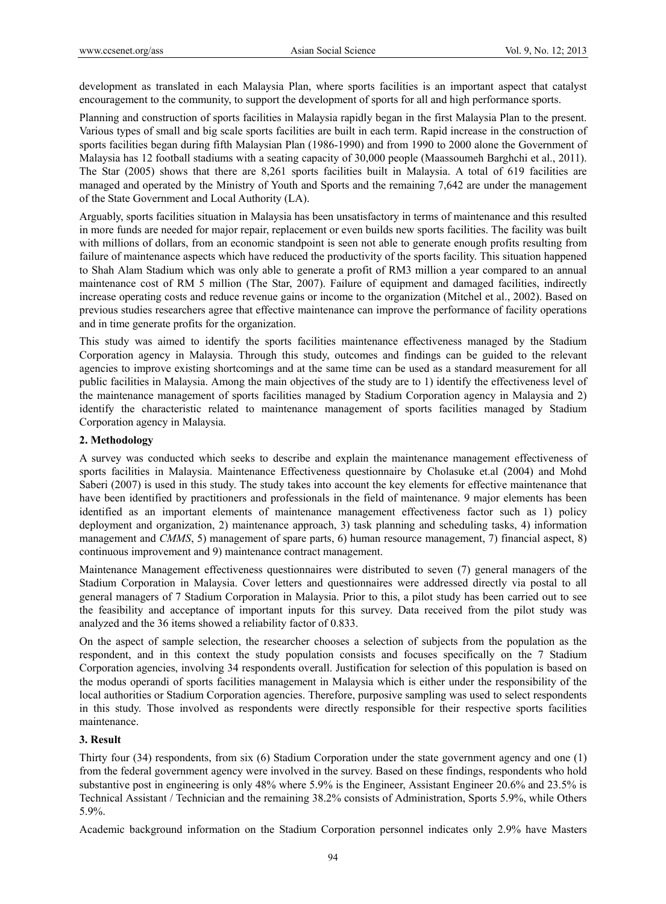development as translated in each Malaysia Plan, where sports facilities is an important aspect that catalyst encouragement to the community, to support the development of sports for all and high performance sports.

Planning and construction of sports facilities in Malaysia rapidly began in the first Malaysia Plan to the present. Various types of small and big scale sports facilities are built in each term. Rapid increase in the construction of sports facilities began during fifth Malaysian Plan (1986-1990) and from 1990 to 2000 alone the Government of Malaysia has 12 football stadiums with a seating capacity of 30,000 people (Maassoumeh Barghchi et al., 2011). The Star (2005) shows that there are 8,261 sports facilities built in Malaysia. A total of 619 facilities are managed and operated by the Ministry of Youth and Sports and the remaining 7,642 are under the management of the State Government and Local Authority (LA).

Arguably, sports facilities situation in Malaysia has been unsatisfactory in terms of maintenance and this resulted in more funds are needed for major repair, replacement or even builds new sports facilities. The facility was built with millions of dollars, from an economic standpoint is seen not able to generate enough profits resulting from failure of maintenance aspects which have reduced the productivity of the sports facility. This situation happened to Shah Alam Stadium which was only able to generate a profit of RM3 million a year compared to an annual maintenance cost of RM 5 million (The Star, 2007). Failure of equipment and damaged facilities, indirectly increase operating costs and reduce revenue gains or income to the organization (Mitchel et al., 2002). Based on previous studies researchers agree that effective maintenance can improve the performance of facility operations and in time generate profits for the organization.

This study was aimed to identify the sports facilities maintenance effectiveness managed by the Stadium Corporation agency in Malaysia. Through this study, outcomes and findings can be guided to the relevant agencies to improve existing shortcomings and at the same time can be used as a standard measurement for all public facilities in Malaysia. Among the main objectives of the study are to 1) identify the effectiveness level of the maintenance management of sports facilities managed by Stadium Corporation agency in Malaysia and 2) identify the characteristic related to maintenance management of sports facilities managed by Stadium Corporation agency in Malaysia.

### **2. Methodology**

A survey was conducted which seeks to describe and explain the maintenance management effectiveness of sports facilities in Malaysia. Maintenance Effectiveness questionnaire by Cholasuke et.al (2004) and Mohd Saberi (2007) is used in this study. The study takes into account the key elements for effective maintenance that have been identified by practitioners and professionals in the field of maintenance. 9 major elements has been identified as an important elements of maintenance management effectiveness factor such as 1) policy deployment and organization, 2) maintenance approach, 3) task planning and scheduling tasks, 4) information management and *CMMS*, 5) management of spare parts, 6) human resource management, 7) financial aspect, 8) continuous improvement and 9) maintenance contract management.

Maintenance Management effectiveness questionnaires were distributed to seven (7) general managers of the Stadium Corporation in Malaysia. Cover letters and questionnaires were addressed directly via postal to all general managers of 7 Stadium Corporation in Malaysia. Prior to this, a pilot study has been carried out to see the feasibility and acceptance of important inputs for this survey. Data received from the pilot study was analyzed and the 36 items showed a reliability factor of 0.833.

On the aspect of sample selection, the researcher chooses a selection of subjects from the population as the respondent, and in this context the study population consists and focuses specifically on the 7 Stadium Corporation agencies, involving 34 respondents overall. Justification for selection of this population is based on the modus operandi of sports facilities management in Malaysia which is either under the responsibility of the local authorities or Stadium Corporation agencies. Therefore, purposive sampling was used to select respondents in this study. Those involved as respondents were directly responsible for their respective sports facilities maintenance.

### **3. Result**

Thirty four (34) respondents, from six (6) Stadium Corporation under the state government agency and one (1) from the federal government agency were involved in the survey. Based on these findings, respondents who hold substantive post in engineering is only 48% where 5.9% is the Engineer, Assistant Engineer 20.6% and 23.5% is Technical Assistant / Technician and the remaining 38.2% consists of Administration, Sports 5.9%, while Others 5.9%.

Academic background information on the Stadium Corporation personnel indicates only 2.9% have Masters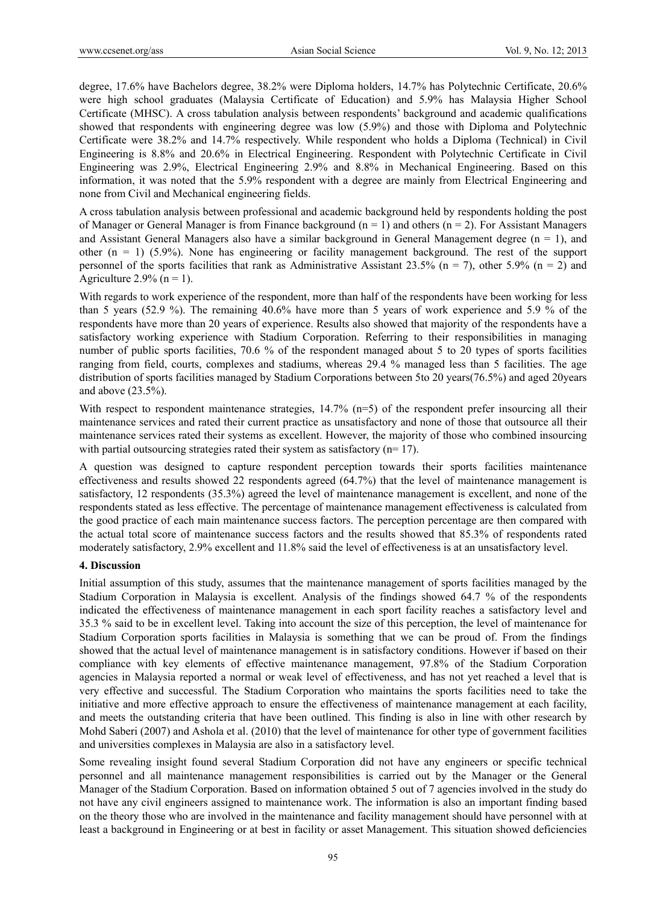degree, 17.6% have Bachelors degree, 38.2% were Diploma holders, 14.7% has Polytechnic Certificate, 20.6% were high school graduates (Malaysia Certificate of Education) and 5.9% has Malaysia Higher School Certificate (MHSC). A cross tabulation analysis between respondents' background and academic qualifications showed that respondents with engineering degree was low (5.9%) and those with Diploma and Polytechnic Certificate were 38.2% and 14.7% respectively. While respondent who holds a Diploma (Technical) in Civil Engineering is 8.8% and 20.6% in Electrical Engineering. Respondent with Polytechnic Certificate in Civil Engineering was 2.9%, Electrical Engineering 2.9% and 8.8% in Mechanical Engineering. Based on this information, it was noted that the 5.9% respondent with a degree are mainly from Electrical Engineering and none from Civil and Mechanical engineering fields.

A cross tabulation analysis between professional and academic background held by respondents holding the post of Manager or General Manager is from Finance background ( $n = 1$ ) and others ( $n = 2$ ). For Assistant Managers and Assistant General Managers also have a similar background in General Management degree  $(n = 1)$ , and other  $(n = 1)$  (5.9%). None has engineering or facility management background. The rest of the support personnel of the sports facilities that rank as Administrative Assistant 23.5% ( $n = 7$ ), other 5.9% ( $n = 2$ ) and Agriculture 2.9% ( $n = 1$ ).

With regards to work experience of the respondent, more than half of the respondents have been working for less than 5 years (52.9 %). The remaining 40.6% have more than 5 years of work experience and 5.9 % of the respondents have more than 20 years of experience. Results also showed that majority of the respondents have a satisfactory working experience with Stadium Corporation. Referring to their responsibilities in managing number of public sports facilities, 70.6 % of the respondent managed about 5 to 20 types of sports facilities ranging from field, courts, complexes and stadiums, whereas 29.4 % managed less than 5 facilities. The age distribution of sports facilities managed by Stadium Corporations between 5to 20 years(76.5%) and aged 20years and above (23.5%).

With respect to respondent maintenance strategies, 14.7% (n=5) of the respondent prefer insourcing all their maintenance services and rated their current practice as unsatisfactory and none of those that outsource all their maintenance services rated their systems as excellent. However, the majority of those who combined insourcing with partial outsourcing strategies rated their system as satisfactory ( $n=17$ ).

A question was designed to capture respondent perception towards their sports facilities maintenance effectiveness and results showed 22 respondents agreed (64.7%) that the level of maintenance management is satisfactory, 12 respondents (35.3%) agreed the level of maintenance management is excellent, and none of the respondents stated as less effective. The percentage of maintenance management effectiveness is calculated from the good practice of each main maintenance success factors. The perception percentage are then compared with the actual total score of maintenance success factors and the results showed that 85.3% of respondents rated moderately satisfactory, 2.9% excellent and 11.8% said the level of effectiveness is at an unsatisfactory level.

### **4. Discussion**

Initial assumption of this study, assumes that the maintenance management of sports facilities managed by the Stadium Corporation in Malaysia is excellent. Analysis of the findings showed 64.7 % of the respondents indicated the effectiveness of maintenance management in each sport facility reaches a satisfactory level and 35.3 % said to be in excellent level. Taking into account the size of this perception, the level of maintenance for Stadium Corporation sports facilities in Malaysia is something that we can be proud of. From the findings showed that the actual level of maintenance management is in satisfactory conditions. However if based on their compliance with key elements of effective maintenance management, 97.8% of the Stadium Corporation agencies in Malaysia reported a normal or weak level of effectiveness, and has not yet reached a level that is very effective and successful. The Stadium Corporation who maintains the sports facilities need to take the initiative and more effective approach to ensure the effectiveness of maintenance management at each facility, and meets the outstanding criteria that have been outlined. This finding is also in line with other research by Mohd Saberi (2007) and Ashola et al. (2010) that the level of maintenance for other type of government facilities and universities complexes in Malaysia are also in a satisfactory level.

Some revealing insight found several Stadium Corporation did not have any engineers or specific technical personnel and all maintenance management responsibilities is carried out by the Manager or the General Manager of the Stadium Corporation. Based on information obtained 5 out of 7 agencies involved in the study do not have any civil engineers assigned to maintenance work. The information is also an important finding based on the theory those who are involved in the maintenance and facility management should have personnel with at least a background in Engineering or at best in facility or asset Management. This situation showed deficiencies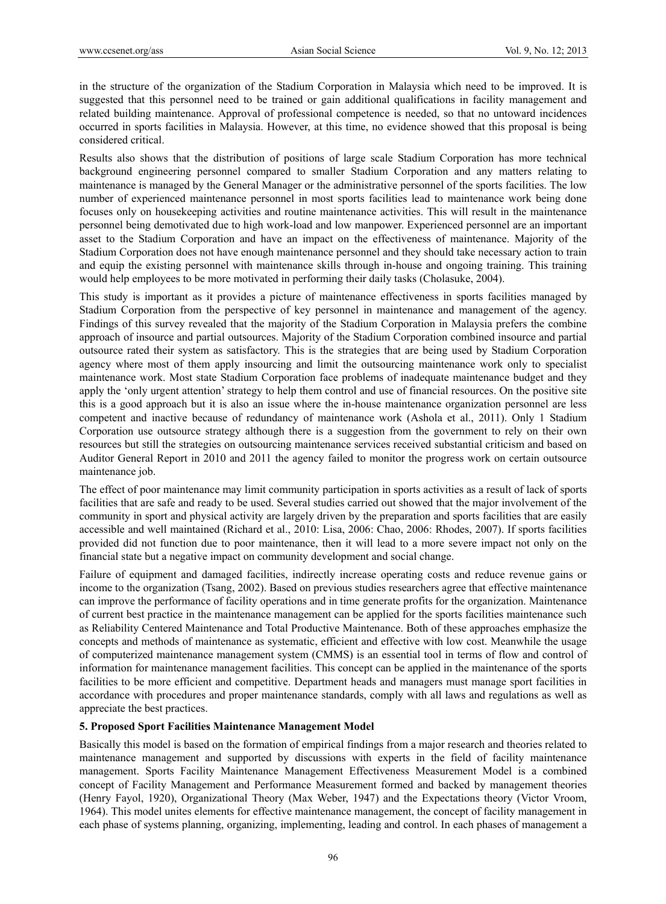in the structure of the organization of the Stadium Corporation in Malaysia which need to be improved. It is suggested that this personnel need to be trained or gain additional qualifications in facility management and related building maintenance. Approval of professional competence is needed, so that no untoward incidences occurred in sports facilities in Malaysia. However, at this time, no evidence showed that this proposal is being considered critical.

Results also shows that the distribution of positions of large scale Stadium Corporation has more technical background engineering personnel compared to smaller Stadium Corporation and any matters relating to maintenance is managed by the General Manager or the administrative personnel of the sports facilities. The low number of experienced maintenance personnel in most sports facilities lead to maintenance work being done focuses only on housekeeping activities and routine maintenance activities. This will result in the maintenance personnel being demotivated due to high work-load and low manpower. Experienced personnel are an important asset to the Stadium Corporation and have an impact on the effectiveness of maintenance. Majority of the Stadium Corporation does not have enough maintenance personnel and they should take necessary action to train and equip the existing personnel with maintenance skills through in-house and ongoing training. This training would help employees to be more motivated in performing their daily tasks (Cholasuke, 2004).

This study is important as it provides a picture of maintenance effectiveness in sports facilities managed by Stadium Corporation from the perspective of key personnel in maintenance and management of the agency. Findings of this survey revealed that the majority of the Stadium Corporation in Malaysia prefers the combine approach of insource and partial outsources. Majority of the Stadium Corporation combined insource and partial outsource rated their system as satisfactory. This is the strategies that are being used by Stadium Corporation agency where most of them apply insourcing and limit the outsourcing maintenance work only to specialist maintenance work. Most state Stadium Corporation face problems of inadequate maintenance budget and they apply the 'only urgent attention' strategy to help them control and use of financial resources. On the positive site this is a good approach but it is also an issue where the in-house maintenance organization personnel are less competent and inactive because of redundancy of maintenance work (Ashola et al., 2011). Only 1 Stadium Corporation use outsource strategy although there is a suggestion from the government to rely on their own resources but still the strategies on outsourcing maintenance services received substantial criticism and based on Auditor General Report in 2010 and 2011 the agency failed to monitor the progress work on certain outsource maintenance job.

The effect of poor maintenance may limit community participation in sports activities as a result of lack of sports facilities that are safe and ready to be used. Several studies carried out showed that the major involvement of the community in sport and physical activity are largely driven by the preparation and sports facilities that are easily accessible and well maintained (Richard et al., 2010: Lisa, 2006: Chao, 2006: Rhodes, 2007). If sports facilities provided did not function due to poor maintenance, then it will lead to a more severe impact not only on the financial state but a negative impact on community development and social change.

Failure of equipment and damaged facilities, indirectly increase operating costs and reduce revenue gains or income to the organization (Tsang, 2002). Based on previous studies researchers agree that effective maintenance can improve the performance of facility operations and in time generate profits for the organization. Maintenance of current best practice in the maintenance management can be applied for the sports facilities maintenance such as Reliability Centered Maintenance and Total Productive Maintenance. Both of these approaches emphasize the concepts and methods of maintenance as systematic, efficient and effective with low cost. Meanwhile the usage of computerized maintenance management system (CMMS) is an essential tool in terms of flow and control of information for maintenance management facilities. This concept can be applied in the maintenance of the sports facilities to be more efficient and competitive. Department heads and managers must manage sport facilities in accordance with procedures and proper maintenance standards, comply with all laws and regulations as well as appreciate the best practices.

### **5. Proposed Sport Facilities Maintenance Management Model**

Basically this model is based on the formation of empirical findings from a major research and theories related to maintenance management and supported by discussions with experts in the field of facility maintenance management. Sports Facility Maintenance Management Effectiveness Measurement Model is a combined concept of Facility Management and Performance Measurement formed and backed by management theories (Henry Fayol, 1920), Organizational Theory (Max Weber, 1947) and the Expectations theory (Victor Vroom, 1964). This model unites elements for effective maintenance management, the concept of facility management in each phase of systems planning, organizing, implementing, leading and control. In each phases of management a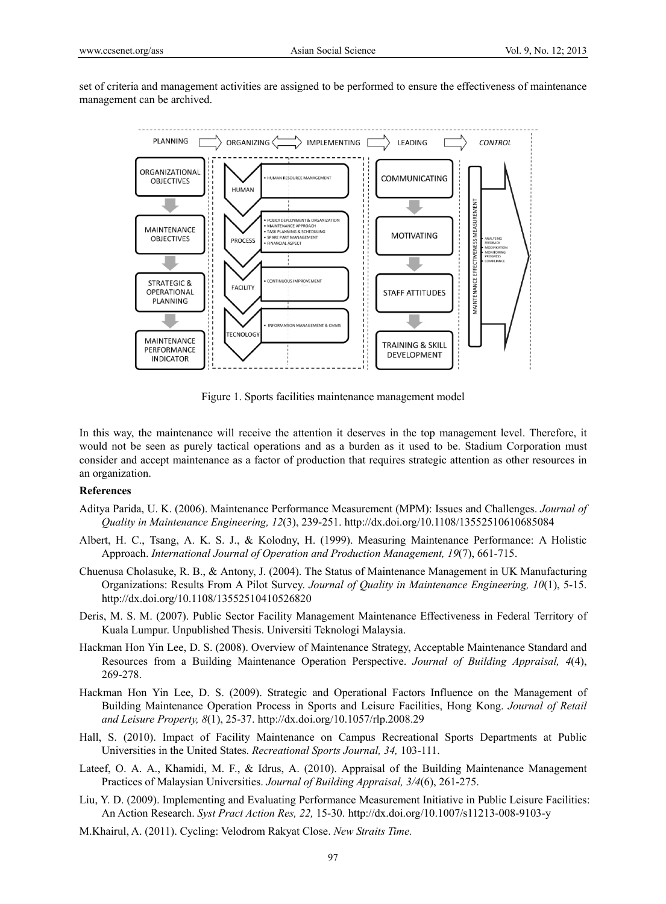set of criteria and management activities are assigned to be performed to ensure the effectiveness of maintenance management can be archived.



Figure 1. Sports facilities maintenance management model

In this way, the maintenance will receive the attention it deserves in the top management level. Therefore, it would not be seen as purely tactical operations and as a burden as it used to be. Stadium Corporation must consider and accept maintenance as a factor of production that requires strategic attention as other resources in an organization.

### **References**

- Aditya Parida, U. K. (2006). Maintenance Performance Measurement (MPM): Issues and Challenges. *Journal of Quality in Maintenance Engineering, 12*(3), 239-251. http://dx.doi.org/10.1108/13552510610685084
- Albert, H. C., Tsang, A. K. S. J., & Kolodny, H. (1999). Measuring Maintenance Performance: A Holistic Approach. *International Journal of Operation and Production Management, 19*(7), 661-715.
- Chuenusa Cholasuke, R. B., & Antony, J. (2004). The Status of Maintenance Management in UK Manufacturing Organizations: Results From A Pilot Survey. *Journal of Quality in Maintenance Engineering, 10*(1), 5-15. http://dx.doi.org/10.1108/13552510410526820
- Deris, M. S. M. (2007). Public Sector Facility Management Maintenance Effectiveness in Federal Territory of Kuala Lumpur. Unpublished Thesis. Universiti Teknologi Malaysia.
- Hackman Hon Yin Lee, D. S. (2008). Overview of Maintenance Strategy, Acceptable Maintenance Standard and Resources from a Building Maintenance Operation Perspective. *Journal of Building Appraisal, 4*(4), 269-278.
- Hackman Hon Yin Lee, D. S. (2009). Strategic and Operational Factors Influence on the Management of Building Maintenance Operation Process in Sports and Leisure Facilities, Hong Kong. *Journal of Retail and Leisure Property, 8*(1), 25-37. http://dx.doi.org/10.1057/rlp.2008.29
- Hall, S. (2010). Impact of Facility Maintenance on Campus Recreational Sports Departments at Public Universities in the United States. *Recreational Sports Journal, 34,* 103-111.
- Lateef, O. A. A., Khamidi, M. F., & Idrus, A. (2010). Appraisal of the Building Maintenance Management Practices of Malaysian Universities. *Journal of Building Appraisal, 3/4*(6), 261-275.
- Liu, Y. D. (2009). Implementing and Evaluating Performance Measurement Initiative in Public Leisure Facilities: An Action Research. *Syst Pract Action Res, 22,* 15-30. http://dx.doi.org/10.1007/s11213-008-9103-y
- M.Khairul, A. (2011). Cycling: Velodrom Rakyat Close. *New Straits Time.*